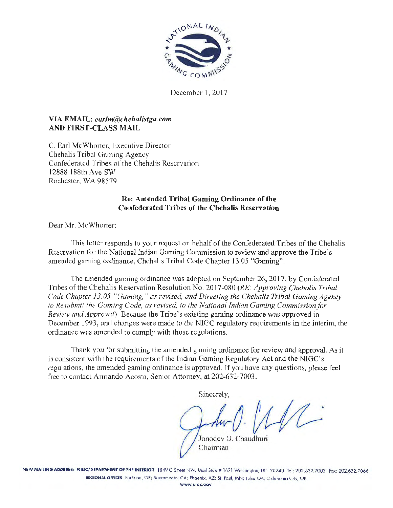

December J, 2017

# VIA EMAIL: *earlm@fahehalistga. com*  AND FIRST-CLASS MAIL

C. Earl McWhorter, Executive Director Chehalis Tribal Gaming Agency Confederated Tribes of the Chehalis Reservation 12888 I 88th Ave SW Rochester, WA 98579

## Re: Amended Tribal Gaming Ordinance of the Confederated Tribes of the Chehalis Reservation

Dear Mr. Mc Whorter:

This letter responds to your request on hehalf of the Confederated Tribes of the Chehalis Reservation for the National Indian Gaming Commission to review and approve the Tribe's amended gaming ordinance, Chehalis Tribal Code Chapter 13.05 "Gaming".

The amended gaming ordinance was adopted on September 26, 2017, by Confederated Tribes of the Chehalis Reservation Resolution No. 2017-080 *(RE: Approving Chehalis Tribal Code Chapter 13.05 "Gaming," as revised, and Directing the Chehalis Tribal Gaming Agency to Resubmit the Gaming Code, as revised, to the National Indian Gaming Commission/or Review and Approval).* Because the Tribe's existing gaming ordinance was approved in December 1993, and changes were made to the NIGC fegulatory requirements in the interim, the ordinance was amended to comply with those regulations.

Thank you for submitting the amended gaming ordinance for review and approval. As it is consistent with the requirements of the Indian Gaming Regulatory Act and the NIGC's regulations, the amended gaming ordinance is approved. If you have any questions, please feel free to contact Armando Acosta, Senior Attorney, at 202-632-7003.

Sincerely,

Jonodev 0. Chaudhuri Chairman

NEW MAILING ADDRESS: NIGC/DEPARTMENT OF THE INTERIOR 1849 C Street NW, Mail Stop # 1621 Washington, DC 20240 Tel: 202.632.7003 Fax: 202.632.7066 REGIONAL OFFICES Portland, OR; Sacramento, CA; Phoenix, AZ; St. Poul, MN; Tulsa OK; Oklahoma City, OK WWW.NIGC.GOV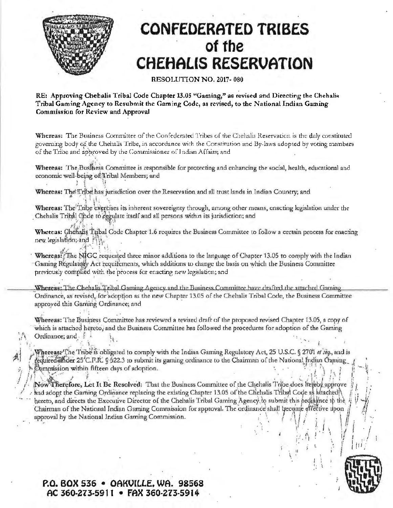

 $I_x$  ,  $A^*$  is if  $A^*$ 

,

# **CONFEDERATED TRIBES of the CHEHALIS RESERVATION**

#### RESOLUTION NO. 2017~ 080

RE: Approving Chehalis Tribal Code Chapter 13.05 "Gaming," as revised and Directing the Chehalis Tribal Gaming Agency to Resubmit the Gaming Code, as revised, to the National Indian Gaming Commission for Review and Approval

Whereas: The Business Committee of the Confederated Tribes of the Chehalis Reservation is the duly constituted governing body of the Chehalis Tribe, in accordance with the Constitution and By-laws adopted by voting members of the Tribe and approved by the Commissioner of Indian Affairs; and

Whereas: The Busfriess Committee is responsible for protecting and enhancing the social, health, educational and economic well-being of Tribal Members; and ! *s* <sup>J</sup>

Whereas: The Tribe has jurisdiction over the Reservation and all trust lands in Indian Country; and

Whereas: The<sup>th</sup>rabe exercises its inherent sovereignty through, among other means, enacting legislation under the Chehalis Tribal Gode to equalize itself and all persons within its jurisdiction; and  $\mathcal{A}_{\mu}^{(1)}$ ,  $\mathcal{A}_{\mu}^{(2)}$ 

Wheteas: Chehalis Tubal Code Chapter 1.6 requires the Business Committee to follow a certain process for enacting new legislation; and  $\{ \}$ .

Whereas: 'The NIGC requested three minor additions to the language of Chapter 13.05 to comply with the Indian Gaming Régularoly Act requirements, which additions to change the basis on which the Business Committee previously complied with the process for enacting new legislation; and

Whereas: The Chehalis Tribal Gaming Agency and the Business Committee have drafted the attached Gaming Ordinance, as revised, for adoption as the new Chapter 13.05 of the Chehalis Tribal Code, the Business Committee approyed this Gaming Ordinance; and

Whereas: The Business Committee has reviewed a tevised draft of the proposed revised Chapter 13.05, a copy of which is attached hereto, and the Business Committee has followed the procedures for adoption of the Gaming Ordinance; and.:  $\frac{1}{2}$ .

: ' .. , ~ r . <sup>I</sup>

Wherease The Tribe<sup>r</sup> is obligated to comply with the Indian Gaming Regulatory Act, 25 U.S.C. § 2701 *et seq.*, and is equired and der 25'C.F.R.: § 522.3 to submit its gaming ordinance to the Chairman of the National Indian Oaming.  $\mathcal{P}_i$  .  $\mathcal{P}_i$  .  $\mathcal{P}_i$  .  $\mathcal{P}_i$  .  $\mathcal{P}_i$  .  $\mathcal{P}_i$  .  $\mathcal{P}_i$  .  $\mathcal{P}_i$  .  $\mathcal{P}_i$  .  $\mathcal{P}_i$  .  $\mathcal{P}_i$  .  $\mathcal{P}_i$  .  $\mathcal{P}_i$  .  $\mathcal{P}_i$  .  $\mathcal{P}_i$  .  $\mathcal{P}_i$  .  $\mathcal{P}_i$  .  $\mathcal{P}_i$  .  $\mathcal{$ 

ow Therefore, Let It Be Resolved: That the Business Committee of the Ghehalis Tribe does heleby approve and adopt the Garning Ordinance replacing the existing Chapter 13.05 of the Chehalis Tribal Code as altached N hereto, and directs the Executive Director of the Chehalis Tribal Garning Agency to submit this brdinance to the Chairman of the National Indian Gaming Commission for approval. The ordinance shall become effective upon  $\|\ \ \|$  .  $\|$  ... approval hy the National Indian Gaming Commission.

# **P.O. BOX 536 • OAKUILLE. WA. 98568 AC 360-213-5911 • FAX 360-273-5914**



 $\int$   $\frac{1}{2}$  Id;

· . , \ *•if* I f .. i'. • Ji *:* I .. I t ' I I• /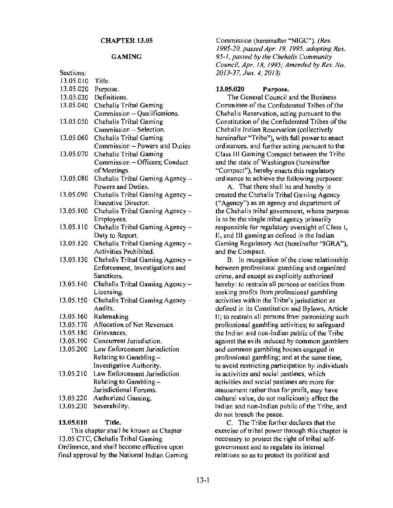#### GAMING

Section 1980

| Sections: |                                 |
|-----------|---------------------------------|
| 13.05.010 | Title.                          |
| 13.05.020 | Purpose.                        |
| 13.05.030 | Definitions.                    |
| 13.05.040 | Chehalis Tribal Gaming          |
|           | Commission - Qualifications.    |
| 13.05.050 | Chehalis Tribal Gaming          |
|           | Commission - Selection.         |
| 13.05.060 | Chehalis Tribal Gaming          |
|           | Commission - Powers and Duties  |
| 13,05.070 | Chehalis Tribal Gaming          |
|           | Commission - Officers; Conduct  |
|           | of Meetings.                    |
| 13.05.080 | Chehalis Tribal Gaming Agency - |
|           | Powers and Duties.              |
| 13.05.090 | Chehalis Tribal Gaming Agency - |
|           | <b>Executive Director.</b>      |
| 13.05.100 | Chehalis Tribal Gaming Agency - |
|           | Employees.                      |
| 13.05.110 | Chehalis Tribal Gaming Agency - |
|           | Duty to Report.                 |
| 13.05.120 | Chehalis Tribal Gaming Agency - |
|           | Activities Prohibited.          |
| 13.05.130 | Chehalis Tribal Gaming Agency - |
|           | Enforcement, Investigations and |
|           | Sanctions.                      |
| 13.05.140 | Chehalis Tribal Gaming Agency - |
|           | Licensing.                      |
| 13.05.150 | Chehalis Tribal Gaming Agency - |
|           | Audits.                         |
| 13.05.160 | Rulemaking                      |
| 13.05.170 | Allocation of Net Revenues.     |
| 13.05.180 | Grievances.                     |
| 13.05.190 | Concurrent Jurisdiction.        |
| 13.05.200 | Law Enforcement Jurisdiction    |
|           | Relating to Gambling-           |
|           | Investigative Authority.        |
| 13.05.210 | Law Enforcement Jurisdiction    |
|           | Relating to Gambling-           |
|           | Jurisdictional Forums.          |
| 13.05.220 | Authorized Gaming.              |
| 13.05.230 | Severability.                   |

#### 13.05.010 Title.

This chapter shall be known as Chapter 13.05 CTC, Chehalis Tribal Gaming Ordinance, and shall become effective upon final approval by the National Indian Gaming Commission (hereinafter ''NIGC"). *(Res. 1995-20, passed Apr. 19, 1995, adopting Res. 95-1, passed* by *the Chehalis Community Council, Apr. 18, 1995; Amended by Res. No. 2013-37, Jun. 4, 2013)* 

## 13.05.020 Purpose.

The General Council and the Business Committee of the Confederated Tribes of the Chehalis Reservation, acting pursuant to the Constitution of the Confederated Tribes of the Chehalis Indian Reservation (collectively hereinafter "Tribe"), with full power to enact ordinances, and further acting pursuant to the Class Ill Gaming Compact between the Tribe and the state of Washington (hereinafter "Compact"), hereby enacts this regulatory ordinance to achieve the following purposes:

A. That there shall be and hereby is created the Chehalis Tribal Gaming Agency ("Agency") as an agency and department of the Chehalis tribal government, whose purpose is to be the single tribal agency primarily responsible for regulatory oversight of Class I, II, and III gaming as defined in the Indian Gaming Regulatory Act (hereinafter "IGRA"), and the Compact.

B. In recognition of the close relationship between professional gambling and organized crime, and except as explicitly authorized hereby: to restrain all persons or entities from seeking profits from professional gambling activities within the Tribe's jurisdiction as defined in its Constitution and Bylaws, Article 11; to restrain all persons from patronizing such professional gambling activities; to safeguard the Indian and non-Indian public of the Tribe against the evils induced by common gamblers and common gambling houses engaged in professional gambling; and at the same time, to avoid restricting participation by individuals in activities and social pastimes, which activities and social pastimes are more for amusement rather than for profit, may have cultural value, do not maliciously affect the Indian and non-Indian public of the Tribe, and do not breach the peace.

C. The Tribe further declares that the exercise of tribal power through this chapter is necessary to protect the right of tribal selfgovemment and to regulate its internal relations so as to protect its political and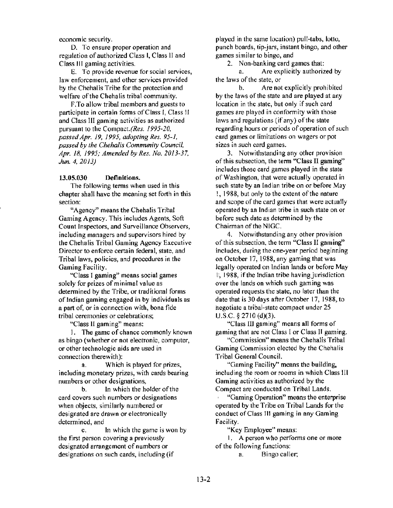economic security.

D. To ensure proper operation and regulation of authorized Class I, Class II and Class Ill gaming activities.

E. To provide revenue for social services, Jaw enforcement, and other services provided by the Chehalis Tribe for the protection and welfare of the Chehalis tribal community.

F.To allow tribal members and guests to participate in certain fonns of Class I, Class 11 and Class III gaming activities as authorized pursuant to the *Compact.(Res. 1995-20, passed Apr. 19, 1995, adopting Res. 95-1, passed by the Chehalis Community Council. Apr. 18, 1995; Amended by Res. No. 2013-37. Jun. 4, 2013)* 

#### 13.05.030 Definitions.

The following terms when used in this chapter shall have the meaning set forth in this section:

"Agency" means the Chehalis Tribal Gaming Agency. This includes Agents, Soft Count Inspectors, and Surveillance Observers, including managers and supervisors hired by the Chehalis Tribal Gaming Agency Executive Director to enforce certain federal, state, and Tribal laws, policies, and procedures in the Gaming Facility.

"Class I gaming'' means social games solely for prizes of minimal value as determined by the Tribe, or traditional forms of Indian gaming engaged in by individuals as a part of, or in connection with, bona fide tribal ceremonies or celebrations;

"Class II gaming" means:

I. The game of chance commonly known as bingo {whether or not electronic, computer, or other technologic aids are used in connection therewith):

a. Which is played for prizes, including monetary prizes, with cards bearing numbers or other designations,

b. In which the holder of the card covers such numbers or designations when objects, similarly numbered or designated are drawn or electronically determined, and

c. In which the game is won by the first person covering a previously designated arrangement of numbers or designations on such cards, including (if

played in the same location) pull-tabs, lotto, punch boards, tip-jars, instant bingo, and other games similar to bingo, and

2. Non-banking card games that:

a. Are explicitly authorized by the laws of the state, or

b. Are not explicitly prohibited by the laws of the state and are played at any location in the state, but only if such card games are played in conformity with those laws and regulations (if any) of the state regarding hours or periods of operation of such card games or limitations on wagers or pot sizes in such card games.

3. Notwithstanding any other provision of this subsection, the term "Class II gaming" includes those card games played in the state pf Washington, that were actually operated in such state by an Indian tribe on or before May l, 1988, but only to the extent of the nature and scope of the card games that were actually operated by an Indian tribe in such state on or before such date as determined by the Chairman of the NIGC.

4. Notwithstanding any other provision of this subsection, the term "Class II gaming" includes, during the one-year period beginning on October 17, 1988, any gaming that was legally operated on Indian lands or before May I', 1988, if the Indian tribe having jurisdiction over the lands on which such gaming was operated requests the state, no later than the date that is 30 days after October 17, 1988, to negotiate a tribal-state compact under 25 u.s.c. § 2710 (d)(3).

"Class III gaming" means all forms of gaming that are not Class I or Class JI gaming.

"Commission» means the Chehalis Tribal Gaming Commission elected by the Chehalis Tribal General Council.

"Gaming Facility" means the building, including the room or rooms in which Class HI Gaming activities as authorized by the Compact are conducted on Tribal Lands.

"Gaming Operation" means the enterprise operated by the Tribe on Tribal Lands for the conduct of Class Ill gaming in any Gaming Facility.

"Key Employee" means:

1. A person who performs one or more of the following functions:

a. Bingo caller;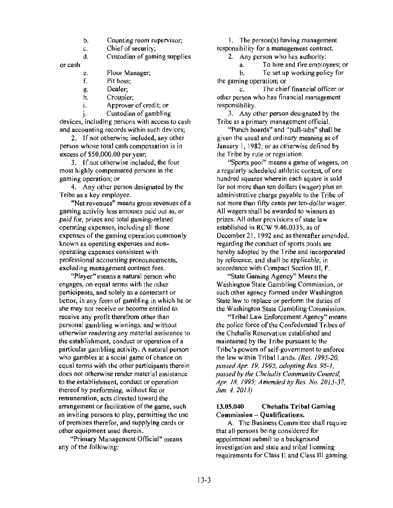- b. Counting room supervisor;
- c. Chief of security;<br>d. Custodian of gam

Custodian of gaming supplies

or cash

- e. Floor Manager;<br>f. Pit boss:
- Pit boss:
- g. Dealer;
- h. Croupier;<br>i. Approver
- 1. Approver of credit; or
- j. Custodian of gambling

devices, including persons with access to cash and accounting records within such devices;

2. If not otherwise included, any other person whose total cash compensation is in excess of \$50,000.00 per year;

3. If not otherwise included, the four most highly compensated persons in the gaming operation; or

4. Any other person designated by the Tribe as a key employee.

"Net revenues" means gross revenues of a gaming activity less amounts paid out as, or paid for, prizes and total gaming-related operating expenses, including all those expenses of the gaming operation commonly known as operating expenses and nonoperating expenses consistent with professional accounting pronouncements, excluding management contract fees.

"Player" means a natural person who engages, on equal terms with the other participants, and solely as a contestant or bettor, in any form of gambling in which he or she may not receive or become entitled to receive any profit therefrom other than personal gambling winnings, and without otherwise rendering any material assistance to the establishment, conduct or operation of a particular gambling activity. A natural person who gambles at a social game of chance on equal terms with the other participants therein does not otherwise render material assistance to the establishment, conduct or operation thereof by performing, without fee or remuneration, acts directed toward the arrangement or facilitation of the game, such as inviting persons to play, permitting the use of premises therefor, and supplying cards or other equipment used therein.

"Primary Management Official" means any of the following:

I. The person(s) having management responsibility for a management contract.

2. Any person who has authority:<br>a. To hire and fire employ

a. To hire and fire employees; or<br>b. To set un working policy for

To set up working policy for the gaming operation; or

c. The chief financial officer or other person who has financial management responsibility.

*3.* Any other person designated by the Tribe as a primary management official.

"Punch boards" and "pull-tabs" shall be given the usual and ordinary meaning as of January 1, 1982; or as otherwise defined by the Tribe by rule or regulation.

"Sports pool" means a game of wagers, on a regularly scheduled athletic contest, of one hundred squares wherein each square is sold for not more than ten dollars (wager) plus an administrative charge payable to the Tribe of not more than fifty cents per ten-dollar wager. All wagers shall be awarded to winners as prizes. All other provisions of state law established in RCW 9.46.0335, as of December 21, 1992 and as thereafter amended, regarding the conduct of sports pools are hereby adopted by the Tribe and incorporated by reference, and shall be applicable, in accordance with Compact Section HI, F.

"State Gaming Agency" Means the Washington State Gambling Commission, or such other agency formed under Washington State law to replace or perform the duties of the Washington State Gambling Commission.

"Tribal Law Enforcement Agency" means the police force of the Confederated Tribes of the Chehalis Reservation established and maintained by the Tribe pursuant to the !fribe's powers of self-government to enforce the law within Tribal Lands. *(Res. 1995-20, passed Apr. 19, 1995, adopting Res. 95-1, passed by the Chehalis Community Council, Apr. 18, 1995; Amended by Res. No. 2013-37, Jun. 4, 2013)* 

#### 13.05.040 Chehalis Tribal Gaming Commission - Oualifications.

A. The Business Committee shall require that all persons being considered for appointment submit to a background investigation and state and tribal licensing requirements for Class 11 and Class III gaming.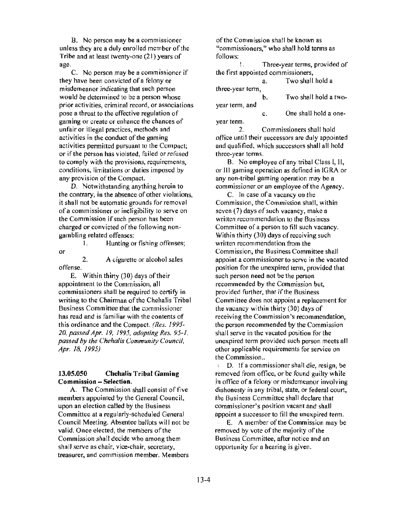B. No person may be a commissioner unless they are a duly enrolled member of the Tribe and at least twenty-one (21) years of age.

C. No person may be a commissioner if they have been convicted of a felony or misdemeanor indicating that such person would be determined to be a person whose prior activities, criminal record, or associations pose a threat to the effective regulation of gaming or create or enhance the chances of unfair or illegal practices, methods and activities in the conduct of the gaming activities permitted pursuant to the Compact; or if the person has violated, failed or refused to comply with the provisions, requirements, conditions, limitations or duties imposed by any provision of the Compact.

D. Notwithstanding anything herein to the contrary, in the absence of other violations, it shall not be automatic grounds for removal of a commissioner or ineligibility to serve on the Commission if such person has been charged or convicted of the following nongambling related offenses:

I. Hunting or fishing offenses; or

2. A cigarette or alcohol sales offense.

E. Within thirty (30) days of their appointment to the Commission, all commissioners shall be required to certify in writing to the Chairman of the Chehalis Tribal Business Committee that the commissioner has read and is familiar with the contents of this ordinance and the Compact. *(Res. 1995- 20, passed Apr. 19, 1995, adopting Res. 95-1, passed* by *the Chehalis Community Council, Apr. 18, 1995)* 

## **13.05.050 Chehalis Tribal Gaming Commission - Selection.**

A. The Commission shall consist of five members appointed by the General Council, upon an election called by the Business Committee at a regularly-scheduled General Council Meeting. Absentee ballots will not be valid. Once elected, the members of the Commission shall decide who among them shall serve as chair, vice-chair, secretary, treasurer, and commission member. Members

of the Commission shall be known as "commissioners," who shall hold terms as follows:

I. Three-year terms, provided of the first appointed commissioners,

|                  | а. | Two shall hold a      |
|------------------|----|-----------------------|
| three-year term, |    |                       |
|                  | b. | Two shall hold a two- |
| year term, and   |    |                       |
|                  |    | One shall hold a one- |

year term.

2. Commissioners shalt hold office until their successors are duly appointed and qualified, which successors shall all hold three-year terms.

B. No employee of any tribal Class I, II, or Ill gaming operation as defined in IGRA or any non-tribal gaming operation may be a commissioner or an employee of the Agency.

C. In case of a vacancy on the Commission, the Commission shall, within seven (7) days of such vacancy, make a written recommendation to the Business Committee of a person to fill such vacancy. Within thirty (30) days of receiving such written recommendation from the Commission, the Business Committee shall appoint a commissioner to serve in the vacated position for the unexpired term, provided that such person need not be the person recommended by the Commission but, provided further, that if the Business Committee does not appoint a replacement for the vacancy within thirty (30) days of receiving the Commission's recommendation, the person recommended by the Commission shall serve in the vacated position for the unexpired term provided such person meets a ll other applicable requirements for service on the Commission..

D. If a commissioner shall die, resign, be removed from office, or be found guilty while .in office of a felony or misdemeanor involving dishonesty in any tribal, state, or federal court, the Business Committee shall declare that commissioner's position vacant and shall appoint a successor to fill the unexpired term.

E. A member of the Commission may be removed by vote of the majority of the Business Committee, after notice and an opportunity for a hearing is given.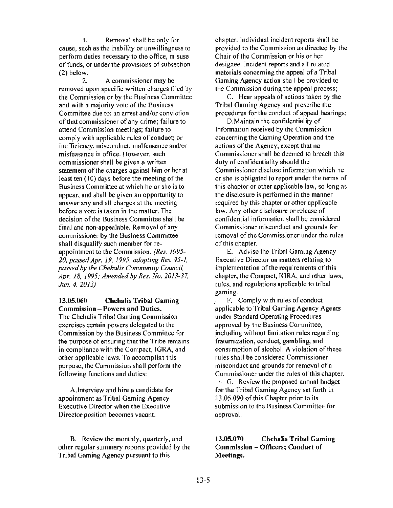I. Removal shall be only for cause, such as the inability or unwillingness to perform duties necessary to the office, misuse of funds, or under the provisions of subsection (2) below.

2. A commissioner may be removed upon specific written charges filed by the Commission or by the Business Committee and with a majority vote of the Business Committee due to: an arrest and/or conviction of that commissioner of any crime; failure to attend Commission meetings; failure to comply with applicable rules of conduct; or inefficiency, misconduct, malfeasance and/or misfeasance in office. However, such commissioner shall be given a written statement of the charges against him or her at least ten (10) days before the meeting of the Business Committee at which he or she is to appear, and shall be given an opportunity to answer any and all charges at the meeting before a vote is taken in the matter. The decision of the Business Committee shall be final and non-appealable. Removal of any commissioner by the Business Committee shall disqualify such member for reappointment to the Commission. *(Res. 1995- 20, passed Apr. 19, 1995, adopting Res. 95-1, passed by the Chehalis Communiry Council, Apr. 18, 1995; Amended* by *Res. No. 2013-37, Jun. 4, 2013)* 

### 13.05.060 Chehalis Tribal Gaming Commission - Powers and Duties.

The Chehalis Tribal Gaming Commission exercises certain powers delegated to the Commission by the Business Committee for the purpose of ensuring that the Tribe remains in compliance with the Compact, IGRA, and other applicable laws. To accomplish this purpose, the Commission shall perfonn lhe following functions and duties:

A.Interview and hire a candidate for appointment as Tribal Gaming Agency Executive Director when the Executive Director position becomes vacant.

B. Review the monthly, quarterly, and other regular summary repons provided by the Tribal Gaming Agency pursuant to this

chapter. Individual incident reports shall be provided to the Commission as directed by the Chair of the Commission or his or her designee. Incident reports and all related materials concerning the appeal of a Tribal Gaming Agency action shall be provided to the Commission during the appeal process;

C. Hear appeals of actions taken by the Tribal Gaming Agency and prescribe the procedures for the conduct of appeal hearings;

D.Maintain the confidentiality of information received by the Commission concerning the Gaming Operation and the actions of the Agency; except that no Commissioner shall be deemed to breach this duty of confidentiality should the Commissioner disclose information which he or she is obligated to report under the terms of this chapter or other applicable law, so long as the disclosure is perfonned in the manner required by this chapter or other applicable law. Any other disclosure or release of ~onfidential information shall be considered Commissioner misconduct and grounds for removal of the Commissioner under the rules of this chapter.

E. Advise the Tribal Gaming Agency Executive Director on matters relating to implementation of the requirements of this chapter, the Compact, IGRA, and other laws, rules, and regulations applicable to tribal gaming.

F. Comply with rules of conduct эř. applicable to Tribal Gaming Agency Agents under Standard Operating Procedures approved by the Business Committee, including without limitation rules regarding fraternization, conduct, gambling, and consumption of alcohol. A violation of these rules shall be considered Commissioner misconduct and grounds for removal of a Commissioner under the rules of this chapter.

· · G. Review the proposed annual budget for the Tribal Gaming Agency set forth in :J;J.05.090 of this Chapter prior to its submission to the Business Committee for approval.

li3.0S.070 Chehalis Tribal Gaming Commission - Officers; Conduct of Meetings.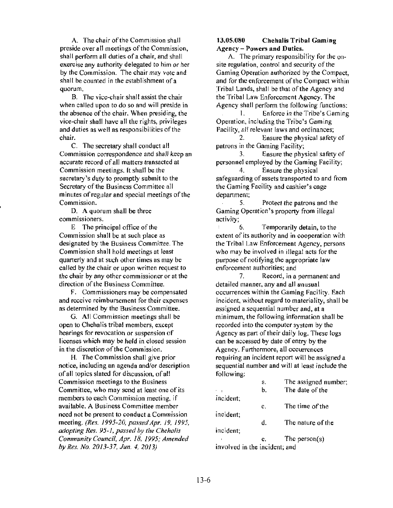A. The chair of the Commission shall preside over all meetings of the Commission, shall perform all duties of a chair, and shall exercise any authority delegated to him or her by the Commission. The chair may vote and shall be counted in the establishment of a quorum.

B. The vice-chair shall assist the chair when called upon to do so and will preside in the absence of the chair. When presiding, the vice-chair shall have all the rights, privileges and duties as well as responsibilities of the chair.

C. The secretary shall conduct all Commission correspondence and shall keep an accurate record of all matters transacted at Commission meetings. It shall be the secretary's duty to promptly submit to the Secretary of the Business Committee all minutes of regular and special meetings of the Commission.

D. A quorum shall be three commissioners.

E The principal office of the Commission shall be at such place as designated by the Business Committee. The Commission shall hold meetings at least quarterly and at such other times as may be called by the chair or upon written request to the chair by any other commissioner or at the direction of the Business Committee.

F. Commissioners may be compensated and receive reimbursement for their expenses as determined by the Business Committee.

G. All Commission meetings shall be open to Chehalis tribal members, except hearings for revocation or suspension of licenses which may be held in closed session in the discretion of the Commission.

H. The Commission shall give prior notice, including an agenda and/or description of all topics slated for discussion, of all Commission meetings to the Business Committee, who may send at least one of its members to each Commission meeting, if available. A Business Committee member need not be present to conduct a Commission meeting. *(Res. 1995-20, passed Apr. 19, 1995, adopling Res. 95-1. passed by ihe Chehalis Community Council, Apr. 18, 1995; Amended by Res. No. 2013-37, Jun. 4, 2013)* 

#### 13.05.080 Chehalis Tribal Gaming Agency- Powers and Duties.

A. The primary responsibility for the onsite regulation, control and security of the Gaming Operation authorized by the Compact, and for the enforcement of the Compact within Tribal Lands, shall be that of the Agency and the Tribal Law Enforcement Agency. The Agency shall perform the following functions:

l. Enforce in the Tribe's Gaming Operation, including the Tribe's Gaming Facility, all relevant laws and ordinances;

2. Ensure the physical safety of patrons in the Gaming Facility;

3. Ensure the physical safety of personnel employed by the Gaming Facility;

4. Ensure the physical safeguarding of assets transported to and from the Gaming Facility and cashier's cage department;

5. Protect the patrons and the Gaming Operation's property from illegal activity;

6. Temporarily detain, to the extent of its authority and in cooperation with the Tribal Law Enforcement Agency, persons who may be involved in illegal acts for the purpose of notifying the appropriate law enforcement authorities; and

7. Record, in a permanent and detailed manner, any and all unusual occurrences within the Gaming Facility. Each incident, without regard to materiality, shall be assigned a sequential number and, at a minimum, the following information shall be recorded into the computer system by the Agency as part of their daily log. These logs can be accessed by date of entry by the Agency. Furthermore, all occurrences requiring an incident report will be assigned a sequential number and will at least include the following:

|                               | a. | The assigned number; |  |  |
|-------------------------------|----|----------------------|--|--|
|                               | b. | The date of the      |  |  |
| incident;                     |    |                      |  |  |
|                               | c. | The time of the      |  |  |
| incident;                     |    |                      |  |  |
|                               | d. | The nature of the    |  |  |
| incident;                     |    |                      |  |  |
|                               | e. | The person( $s$ )    |  |  |
| involved in the incident; and |    |                      |  |  |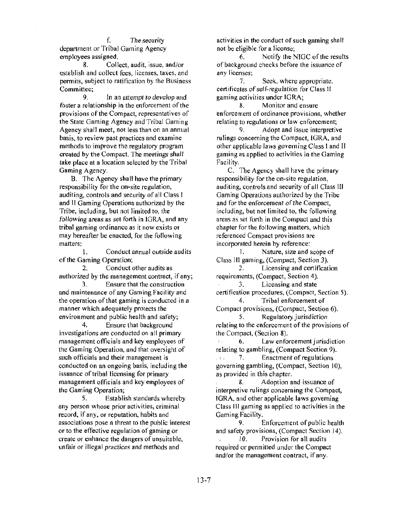f. The security department or Tribal Gaming Agency employees assigned.

8. Collect, audit, issue, and/or establish and collect fees, licenses, taxes, and pennits, subject to ratification by the Business Committee;

9. In an attempt to develop and foster a relationship in the enforcement of the provisions of the Compact, representatives of the State Gaming Agency and Tribal Gaming Agency shall meet, not less than on an annual basis, to review past practices and examine methods to improve the regulatory program created by the Compact. The meetings shall take place at a location selected by the Tribal Gaming Agency.

B. The Agency shall have the primary responsibility for the on-site regulation, auditing, controls and security of all Class I and II Gaming Operations authorized by the Tribe, including, but not limited to, the following areas as set forth in IGRA, and any tribal gaming ordinance as it now exists or may hereafter be enacted, for the following matters:

1. Conduct annual outside audits of the Gaming Operation;

2. Conduct other audits as authorized by the management contract, if any;

3. Ensure that the construction and maintenance of any Gaming Facility and the operation of that gaming is conducted in a manner which adequately protects the environment and public health and safety;

4. Ensure that background investigations are conducted on all primary management officials and key employees of the Gaming Operation, and that oversight of such officials and their management is conducted on an ongoing basis, including the issuance of tribal licensing for primary management officials and key employees of the Gaming Operation;

5. Establish standards whereby any person whose prior activities, criminal record, if any, or reputation, habits and associations pose a threat to the public interest or to the effective regulation of gaming or create or enhance the dangers of unsuitable, unfair or illegal practices and methods and

activities in the conduct of such gaming shall not be eligible for a license;

6. Notify the NIGC of the results of background checks before the issuance of any licenses;<br> $\frac{7}{1}$ 

Seek, where appropriate, certificates of self-regulation for Class II gaming activities under IORA;

8. Monitor and ensure enforcement of ordinance provisions, whether relating to regulations or law enforcement;<br>9. Adopt and issue interpretive

Adopt and issue interpretive rulings concerning the Compact, IGRA, and other applicable laws governing Class I and II gaming as applied to activities in the Gaming Facility.

C. The Agency shall have the primary responsibility for the on-site regulation, auditing, controls and security of all Class III Gaming Operations authorized by the Tribe and for the enforcement of the Compact, including, but not limited to, the following areas as set forth in the Compact and this chapter for the following matters, which referenced Compact provisions are incorporated herein by reference:

1. Nature, size and scope of Class III gaming, (Compact, Section 3).

2. Licensing and certification requirements, (Compact, Section 4).

*3.* Licensing and state certification procedures, (Compact, Section 5).

4. Tribal enforcement of Compact provisions, (Compact, Section 6). 5. Regulatory jurisdiction

relating to the enforcement of the provisions of the Compact, (Section 8).

6. Law enforcement jurisdiction  $\mathcal{L}_{\mathrm{eff}}$ relating to gambling, (Compact Section 9).  $, \ldots$  7. Enactment of regulations governing gambling, (Compact, Section 10), as provided in this chapter.

8. Adoption and issuance of interpretive rulings concerning the Compact, IGRA, and other applicable laws governing Class III gaming as applied to activities in the Gaming Facility.

9. Enforcement of public health and safety provisions, (Compact Section 14). 10. Provision for all audits required or pennitted under the Compact and/or the management contract, if any.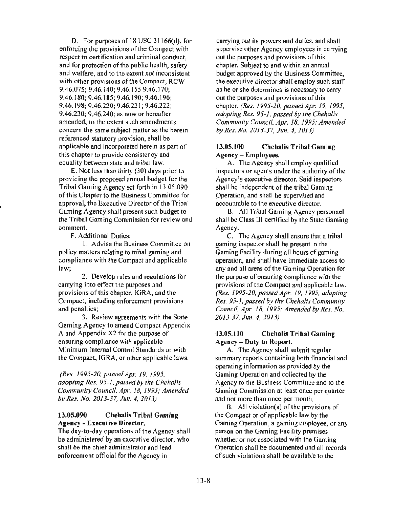D. For purposes of 18 USC 31166(d), for enforcing the provisions of the Compact with respect to certification and criminal conduct, and for protection of the public health, safety and welfare, and to the extent not inconsistent with other provisions of the Compact, RCW 9.46.075; 9.46.140; 9.46.155 9.46.170; 9.46.180; 9.46.185; 9.46.190; 9.46.196; 9.46.198; 9.46.220; 9.46.221; 9.46.222; 9.46.230; 9.46.240; as now or hereafter amended, to the extent such amendments concern the same subject matter as the herein referenced statutory provision, shall be applicable and incorporated herein as part of this chapter to provide consistency and equality between state and tribal law.

E. Not less than thirty (30) days prior to providing the proposed annual budget for the Tribal Gaming Agency set forth in 13.05.090 of this Chapter to the Business Committee for approval, the Executive Director of the Tribal Gaming Agency shall present such budget to the Tribal Gaming Commission for review and comment.

F. Additional Duties:

I. Advise the Business Committee on policy matters relating to tribal gaming and compliance with the Compact and applicable law;

2. Develop rules and regulations for carrying into effect the purposes and provisions of this chapter, IGRA, and the Compact, including enforcement provisions and penalties;

3. Review agreements with the State Gaming Agency to amend Compact Appendix A and Appendix X2 for the purpose of ensuring compliance with applicable Minimum Internal Control Standards or with the Compact, IGRA, or other applicable laws.

*(Res. 1995-20, passed Apr. 19, 1995, adopting Res. 95-1, passed by the Chehalis Community Council, Apr. 18, 1995; Amended by Res. No. 2013-37, Jun. 4, 2013)* 

### 13.05.090 Chehalis Tribal Gaming Agency - Executive Director.

The day-to-day operations of the Agency shall be administered by an executive director, who shall be the chief administrator and lead enforcement official for the Agency in

carrying out its powers and duties, and shall supervise other Agency employees in carrying out the purposes and provisions of this chapter. Subject to and within an annual budget approved by the Business Committee, the executive director shall employ such staff as he or she determines is necessary to carry out the purposes and provisions of this chapter. *(Res. 1995-20, passed Apr. 19, 1995, ad.opting Res. 95·1, passed by the Chehalis Community Council, Apr. 18, 1995; Amended by Res. No. 2013-37, Jun. 4, 2013)* 

## 13.05.100 Chehalis Tribal Gaming Agency - Employees.

A. The Agency shall employ qualified inspectors or agents under the authority of the Agency's executive director. Said inspectors shall be independent of the tribal Gaming Operation, and shall be supervised and accountable to the executive director.

B. All Tribal Gaming Agency personnel shall be Class III certified by the State Gaming Agency.

C. The Agency shall ensure that a tribal gaming inspector shall be present in the Gaming Facility during all hours of gaming operation, and shall have immediate access to any and all areas of the Gaming Operation for the purpose of ensuring compliance with the provisions of the Compact and applicable law. *(Res. 1995-20, passed Apr. 19. 1995, adopting Res. 95·1, passed by the Chehalis Community Council, Apr. 18, 1995; Amended by Res. No. 2013-37, Jun. 4, 2013)* 

### lJ.05.110 Chehalis Tribal Gaming Agency - Duty to Report.

A. The Agency shall submit regular summary reports containing both financial and operating information as provided by the Gaming Operation and collected by the Agency to the Business Committee and to the Gaming Commission at least once per quarter and not more than once per month.

B. All violation(s) of the provisions of the Compact or of applicable law by the Gaming Operation, a gaming employee, or any person on the Gaming Facility premises whether or not associated with the Gaming Operation shall be documented and all records of.such violations shall be available to the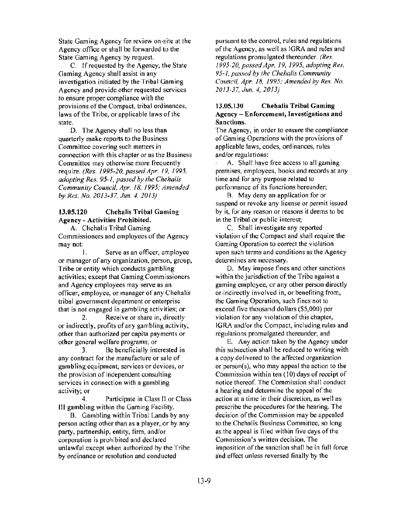State Gaming Agency for review on-site at the Agency office or shall be forwarded to the State Gaming Agency by request.

C. If requested by the Agency, the State Gaming Agency shall assist in any investigation initiated by the Tribal Gaming Agency and provide other requested services to ensure proper compliance with the provisions of the Compact, tribal ordinances, laws of the Tribe, or applicable laws of the state.

D. The Agency shall no less than quarterly make reports to the Business Committee covering such matters in connection with this chapter or as the Business Committee may otherwise more frequently require. *(Res. 1995-20, passed Apr. 19, 1995, adopting Res. 95-1, passed by the Chehalis Community Council, Apr. 18, 1995; Amended by Res. No. 2013-37, Jun. 4, 20 l 3)* 

## 13.05.120 Chehalis Tribal Gaming Agency - Activities Prohibited.

A. Chehalis Tribal Gaming Commissioners and employees of the Agency may not:

1. Serve as an officer, employee or manager of any organization, person, group, Tribe or entity which conducts gambling activities; except that Gaming Commissioners and Agency employees may serve as an officer, employee, or manager of any Chehalis tribal government department or enterprise that is not engaged in gambling activities; or

2. Receive or share in, directly or indirectly, profits of any gambling activity, other than authorized per capita payments or other general welfare programs; or

3. Be beneficially interested in any contract for the manufacture or sale of gambling equipment, services or devices, or the provision of independent consulting services in connection with a gambling activity; or

4. Participate in Class Il or Class Ill gambling within the Gaming Facility.

B. Gambling within Tribal Lands by any person acting other than as a player, or by any party, partnership, entity, firm, and/or corporation is prohibited and declared unlawful except when authorized by the Tribe by ordinance or resolution and conducted

pursuant to the control, rules and regulations of the Agency, as well as IGRA and rules and regulations promulgated thereunder. *(Res. 1995-20, passed Apr. 19, 1995, adopting Res. 95-1, passed by the Chehalis Community Council, Apr. 18, 1995; Amended by Res. No. 2013-37, Jun. 4, 2013)* 

### 13.05.130 Chehalis Tribal Gaming Agency - Enforcement, Investigations and Sanctions.

The Agency, in order to ensure the compliance of Gaming Operations with the provisions of applicable laws, codes, ordinances, rules and/or regulations:

A. Shall have free access to all gaming premises, employees, books and records at any time and for any purpose related to performance of its functions hereunder;

B. May deny an application for or suspend or revoke any license or permit issued by it, for any reason or reasons it deems to be in the Tribal or public interest;

C. Shall investigate any reported violation of the Compact and shall require the Gaming Operation to correct the violation upon such terms and conditions as the Agency determines are necessary.

D. May impose fines and other sanctions within the jurisdiction of the Tribe against a gaming employee, or any other person directly or·indirectly involved in, or benefiting from, the Gaming Operation, such fines not to exceed five thousand dollars (\$5,000) per violation for any violation of this chapter, IGRA and/or the Compact, including rules and regulations promulgated thereunder; and

E. Any action taken by the Agency under this subsection shall be reduced to writing with a copy delivered to the affected organization or person(s), who may appeal the action to the Commission within ten (10) days of receipt of notice thereof. The Commission shall conduct a hearing and determine the appeal of the action at a time in their discretion, as well as prescribe the procedures for the hearing. The decision of the Commission may be appealed to: the Chehalis Business Committee, so long as.:the appeal is filed within five days of the <Commission's written decision. The imposition of the sanction shall be in full force and effect unless reversed finally by the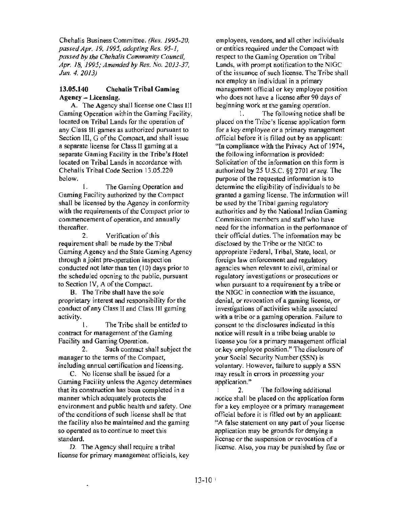Chehalis Business Committee. *(Res. 1995-20, passed Apr. 19, 1995, adopting Res. 95-1, passed by the Chehalis Community Council, Apr. 18, 1995; Amended by Res. No. 2013-37. Jun. 4. 2013)* 

#### 13.05.140 Chehalis Tribal Gaming Agency - Licensing.

A. The Agency shall license one Class Ill Gaming Operation within the Gaming Facility, located on Tribal Lands for the operation of any Class Ill games as authorized pursuant to Section III, G of the Compact, and shall issue a separate license for Class 11 gaming at a separate Gaming Facility in the Tribe's Hotel located on Tribal Lands in accordance with Chehalis Tribal Code Section 13.05.220 below.

I. The Gaming Operation and Gaming Facility authorized by the Compact shall be licensed by the Agency in conformity with the requirements of the Compact prior to commencement of operation, and annually thereafter.

2. Verification of this requirement shall be made by the Tribal Gaming Agency and the State Gaming Agency through a joint pre-operation inspection conducted not later than ten  $(10)$  days prior to the scheduled opening to the public, pursuant to Section IV, A of the Compact.

8. The Tribe shall have the sole proprietary interest and responsibility for the conduct of any Class II and Class 111 gaming activity.

I. The Tribe shall be entitled to contract for management of the Gaming Facility and Gaming Operation.

2. Such contract shall subject the manager to the terms of the Compact, including annual certification and licensing.

C. No license shall be issued for a Gaming Facility unless the Agency determines that its construction has been completed in a manner which adequately protects the environment and public health and safety. One of the conditions of such license shall be that the facility also be maintained and the gaming so operated as to continue to meet this standard.

D. The Agency shall require a tribal license for primary management officials, key

employees, vendors, and all other individuals or entities required under the Compact with respect to the Gaming Operation on Tribal Lands, with prompt notification to the NIGC of the issuance of such license. The Tribe shall not employ an individual in a primary management official or key employee position who does not have a license after 90 days of beginning work at the gaming operation.

I. The following notice shall be placed on the Tribe's license application form for a key employee or a primary management official before it is filled out by an applicant: "In compliance with the Privacy Act of 1974, the following information is provided: Solicitation of the information on this form is authorized by 25 U.S.C. §§ 2701 *et seq.* The purpose of the requested information is to determine the eligibility of individuals to be granted a gaming license. The information will be used by the Tribal gaming regulatory authorities and by the National Indian Gaming Commission members and staff who have need for the infonnation in the performance of their official duties. The information may be disclosed by the Tribe or the NIGC to appropriate Federal, Tribal, State, local, or foreign law enforcement and regulatory agencies when relevant to civil, criminal or regulatory investigations or prosecutions or when pursuant to a requirement by a tribe or the NIGC in connection with the issuance, denial, or revocation of a gaming license, or investigations of activities while associated with a tribe or a gaming operation. Failure to ~onsent to the disclosures indicated in this notice will result in a tribe being unable to license you for a primary management official or key employee position." The disclosure of your Social Security Number (SSN) is voluntary. However, failure to supply a SSN may result in errors in processing your application."

2. The following additional notice shall be placed on the application form for a key employee or a primary management official before it is filled out by an applicant: '~A false statement on any part of your license application may be grounds for denying a license or the suspension or revocation of a jicense. Also, you may be punished by fine or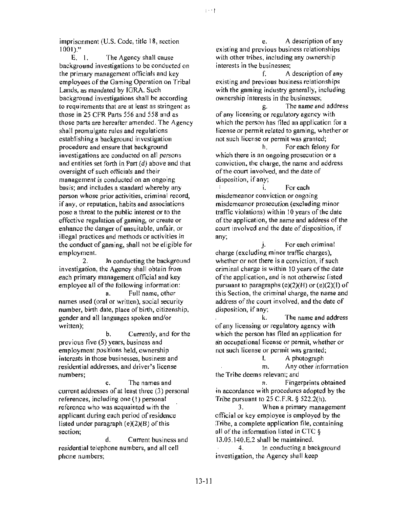imprisonment (U.S. Code, title 18, section 1001)."

E. I. The Agency shall cause background investigations to be conducted on the primary management officials and key employees of the Gaming Operation on Tribal Lands, as mandated by IGRA. Such background investigations shall be according to requirements that are at least as stringent as those in 25 CFR Parts 556 and 558 and as those parts are hereafter amended. The Agency shall promulgate rules and regulations establishing a background investigation procedure and ensure that background investigations are conducted on all persons and entities set forth in Part (d) above and that oversight of such officials and their management is conducted on an ongoing basis; and includes a standard whereby any person whose prior activities, criminal record, if any, or reputation, habits and associations pose a threat to the public interest or to the effective regulation of gaming, or create or enhance the danger of unsuitable, unfair, or illegal practices and methods or activities in the conduct of gaming, shall not be eligible for employment.<br>2.

In conducting the background investigation, the Agency shall obtain from each primary management official and key employee all of the following information: a. Full name, other names used (oral or written), social security number, birth date, place of birth, citizenship, gender and all languages spoken and/or written);

b. Currently, and for the previous five *(5)* years, business and employment positions held, ownership interests in those businesses, business and residential addresses, and driver's license numbers;

c. The names and current addresses of at least three (3) personal references, including one ( l) personal reference who was acquainted with the applicant during each period of residence listed under paragraph (e)(2)(B) of this section;

d. Current business and residential telephone numbers, and all cell phone numbers;

e. A description of any existing and previous business relationships with other tribes, including any ownership interests in the businesses;

 $\left\{ \cdots\right\}$ 

f. A description of any existing and previous business relationships with the gaming industry generally, including ownership interests in the businesses;

g. The name and address of any licensing or regulatory agency with which the person has filed an application for a license or permit related to gaming, whether or not such license or permit was granted;

h. For each felony for which there is an ongoing prosecution or a conviction, the charge, the name and address of the court involved, and the date of disposition, if any;

i. For each misdemeanor conviction or ongoing misdemeanor prosecution (excluding minor traffic violations) within 10 years of the date of the application, the name and address of the court involved and the date of disposition, if any;

j. For each criminal charge (excluding minor traffic charges). whether or not there is a conviction, if such criminal charge is within 10 years of the date of the application, and is not otherwise listed pursuant to paragraphs (e)(2)(H) or (e)(2)(1) of this Section, the criminal charge, the name and address of the court involved, and the date of disposition, if any;

k. The name and address of any licensing or regulatory agency with which the person has filed an application for an occupational license or permit, whether or not such license or permit was granted;

I. A photograph m. Any other information the Tribe deems relevant; and

n. Fingerprints obtained in accordance with procedures adopted by the Tribe pursuant to 25 C.F.R. § 522.2(h).

3. When a primary management official or key employee is employed by the Tribe, a complete application file, containing all of the information listed in CTC §  $13.05.140.E.2$  shall be maintained.

4. In conducting a background investigation, the Agency shall keep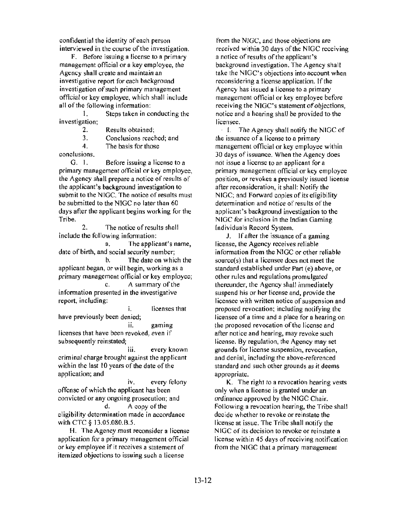confidential the identity of each person interviewed in the course of the investigation.

F. Before issuing a license to a primary management official or a key employee, the Agency shall create and maintain an investigative report for each background investigation of such primary management official or key employee, which shall include all of the following information:

1. Steps taken in conducting the investigation;

2. Results obtained;

3. Conclusions reached; and

4. The basis for those

conclusions.

G. I. Before issuing a license to a primary management official or key employee, the Agency shall prepare a notice of results of the applicant's background investigation to submit to the NIGC. The notice of results must be submitted to the NIGC no later than 60 days after the applicant begins working for the Tribe.

2. The notice of results shall include the following information:

a. The applicant's name, date of birth, and social security number; b. The date on which the applicant began, or will begin, working as a

primary management official or key employee; c. A summary of the

information presented in the investigative report, including:

1. licenses that have previously been denied;

ii. gaming licenses that have been revoked, even if subsequently reinstated;

111. every known criminal charge brought against the applicant within the last 10 years of the date of the application; and

iv. every felony offense of which the applicant has been convicted or any ongoing prosecution; and d. A copy of the eligibility determination made in accordance with CTC § 13.05.080.B.5.

H. The Agency must reconsider a license application for a primary management official or key employee if it receives a statement of itemized objections to issuing such a license

from the NIGC, and those objections are received within 30 days of the NIGC receiving a notice of results of the applicant's background investigation. The Agency shall take the NIGC's objections into account when reconsidering a license application. If the Agency has issued a license to a primary management official or key employee before receiving the NIGC's statement of objections, notice and a hearing shall be provided to the licensee.

· I. The Agency shall notify the NIGC of the issuance of a license to a primary management official or key employee within 30 days of issuance. When the Agency does not issue a license to an applicant for a primary management official or key employee position, or revokes a previously issued license after reconsideration, it shall: Notify the NIGC; and Forward copies of its eligibility determination and notice of results of the applicant's background investigation to the NIGC for inclusion in the lndian Gaming Individuals Record System.

J. If after the issuance of a gaming license, the Agency receives reliable information from the NIGC or other reliable source(s) that a licensee does not meet the standard established under Part (e) above, or other rules and regulations promulgated thereunder, the Agency shall immediately suspend his or her license and, provide the licensee with written notice of suspension and proposed revocation; including notifying the licensee of a time and a place for a hearing on the proposed revocation of the license and after notice and hearing, may revoke such license. By regulation, the Agency may set grounds for I icense suspension, revocation, and denial, including the above-referenced standard and such other grounds as it deems appropriate.

K. The right to a revocation hearing vests only when a license is granted under an ordinance approved by the NIGC Chair. Following a revocation hearing, the Tribe shall decide whether to revoke or reinstate the license at issue. The Tribe shall notify the NIGC of its decision to revoke or reinstate a license within 45 days of receiving notification from the NIGC that a primary management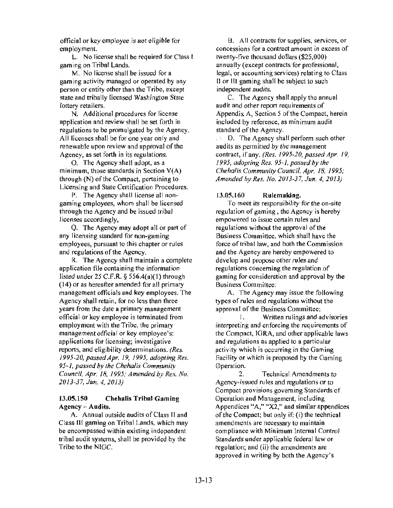official or key employee is not eligible for employment.

L. No license shall be required for Class I gaming on Tribal Lands.

M. No license shall be issued for a gaming activity managed or operated by any person or entity other than the Tribe, except state and tribally licensed Washington State lottery retailers.

N. Additional procedures for license application and review shall be set forth in regulations to be promulgated by the Agency. All licenses shall be for one year only and renewable upon review and approval of the Agency, as set forth in its regulations.

0 . The Agency shall adopt, as a minimum, those standards in Section V(A) through (N) of the Compact, pertaining to Licensing and State Certification Procedures.

P. The Agency shall license all nongaming employees, whom shall be licensed through the Agency and be issued tribal licenses accordingly,

Q. The Agency may adopt all or part of any licensing standard for non-gaming employees, pursuant to this chapter or rules and regulations of the Agency.

R. The Agency shall maintain a complete application file containing the information listed under 25 C.F .R. § 556.4(a)( I) through ( 14) or as hereafter amended for all primary management officials and key employees. The Agency shall retain, for no less than three years from the date a primary management official or key employee is terminated from employment with the Tribe, the primary management official or key employee's: applications for licensing; investigative reports, and eligibility determinations. *(Re.s. 1995-20, passed Apr. 19, 1995, adopting Res. 95-1, passed* by *the Chehalis Community Council, Apr. 18, 1995; Amended by Res. No. 20 I 3-37, Jun. 4, 2013)* 

#### 13.05.150 Chehalis Tribal Gaming Agency - Audits.

A. Annual outside audits of Class II and Class Ill gaming on Tribal Lands, which may be encompassed within existing independent tribal audit systems, shall be provided by the Tribe to the NIGC.

B. All contracts for supplies, services, or concessions for a contract amount in excess of twenty-five thousand dollars (\$25,000) annually (except contracts for professional, legal, or accounting services) relating to Class II or Ill gaming shall be subject to such independent audits.

C. The Agency shall apply the annual audit and other report requirements of Appendix A, Section *5* of the Compact, herein included by reference, as minimum audit standard of the Agency.

. D. The Agency shall perform such other audits as permitted by the management contract, if any. *(Res. 1995-20, passed Apr. 19, 1995, adopting Res. 95-1, passed by the Chehalis Community Council, Apr. 18, 1995; Amended hy Res. No. 2013-37, Jun. 4, 2013)* 

#### 13.05.160 Rulemaking.

To meet its responsibility for the on-site regulation of gaming, the Agency is hereby empowered to issue certain rules and regulations without the approval of the Business Committee, which shall have the force of tribal law, and both the Commission and the Agency are hereby empowered co develop and propose other rules and regulations concerning the regulation of gaming for consideration and approval by the Business Committee:

A. The Agency may issue the following types of rules and regulations without the approval of the Business Committee:

I. Written rulings and advisories interpreting and enforcing the requirements of the Compact, IGRA, and other applicable laws and regulations as applied to a particular activity which is occurring in the Gaming fiacility or which is proposed by the Gaming Operation.

2. Technical Amendments to Agency-issued rules and regulations or to Compact provisions governing Standards of Operation and Management, including Appendices "A," "X2," and similar appendices of.the Compact; but only if: (i) the technical amendments are necessary to maintain compliance with Minimum lnternal Control Standards under applicable federal law or regulation; and (ii) the amendments are approved in writing by both the Agency's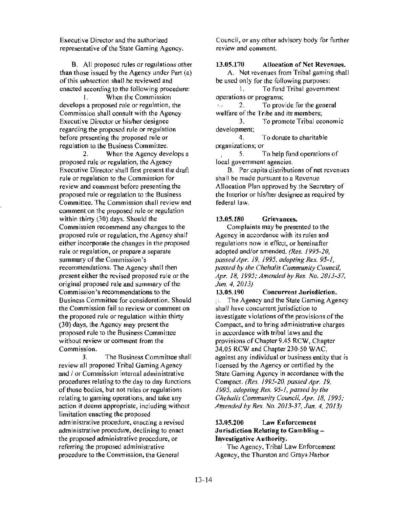Executive Director and the authorized representative of the State Gaming Agency.

B. All proposed rules or regulations other than those issued by the Agency under Part (a) of this subsection shall be reviewed and enacted according to the following procedure:

I. When the Commission develops a proposed rule or regulation, the Commission shall consult with the Agency Executive Director or his/her designee regarding the proposed rule or regulation before presenting the proposed rule or regulation to the Business Committee.

2. When the Agency develops a proposed rule or regulation, the Agency Executive Director shall first present the draft rule or regulation to the Commission for review and comment before presenting the proposed rule or regulation to the Business Committee. The Commission shall review and comment on the proposed rule or regulation within thirty (30) days. Should the Commission recommend any changes to the proposed rule or regulation, the Agency shall either incorporate the changes in the proposed rule or regulation, or prepare a separate summary of the Commission's recommendations. The Agency shall then present either the revised proposed rule or the original proposed rule and summary of the Commission's recommendations to the Business Committee for consideration. Should the Commission fail to review or comment on the proposed rule or regulation within thirty (30) days, the Agency may present the proposed rule to the Business Committee without review or comment from the Commission.

3. The Business Committee shall review all proposed Tribal Gaming Agency and / or Commission internal administrative procedures relating to the day to day functions of those bodies, but not rules or regulations relating to gaming operations, and take any action it deems appropriate, including without limitation enacting the proposed administrative procedure, enacting a revised administrative procedure, declining to enact the proposed administrative procedure, or referring the proposed admin istrative procedure to the Commission, the General

Council, or any other advisory body for further review and comment.

#### 13.05.170 Allocation of Net Revenues.

A. Net revenues from Tribal gaming shall be used only for the following purposes:

1. To fund Tribal government operations or programs;

 $\sqrt{2}$ , To provide for the general welfare of the Tribe and its members;

3. To promote Tribal economic development;

4. To donate to charitable organizations; or

, 5. To help fund operations of local government agencies.

B. Per capita distributions of net revenues shall be made pursuant to a Revenue Allocation Plan approved by the Secretary of the Interior or his/her designee as required by federal law.

#### 13.05.180 Grievances.

Complaints may be presented to the Agency in accordance with its rules and regulations now in effect, or hereinafter adopted and/or amended. *(Res. 1995-20, passed Apr. 19, 1995, adopting Res. 95-1, passed by the Chehalis Community Council, Apr. 18, 1995; Amended by Res. No. 2013-37, Jun. 4, 2013)* 

13.05.190 Concurrent Jurisdiction.  $\therefore$  The Agency and the State Gaming Agency shall have concurrent jurisdiction to investigate violations of the provisions of the Compact, and to bring administrative charges in accordance with tribal laws and the prpvisions of Chapter 9.45 RCW, Chapter 34,05 RCW and Chapter 230-50 WAC, against any individual or business entity that is licensed by the Agency or certified by the State Gaming Agency in accordance with the Compact. *(Res. 1995-20, passed Apr. 19, 1995, adopting Res. 95-1, passed by the Chehalis Community Council, Apr. 18, 1995; A'l'!'lended by Res.* No. *2013-37, Jun. 4, 2013)* 

#### 13.05.200 Law Enforcement Jurisdiction Relating to Gambling  $-$ Investigative Authority.

. The Agency, Tribal Law Enforcement Agency, the Thurston and Grays Harbor